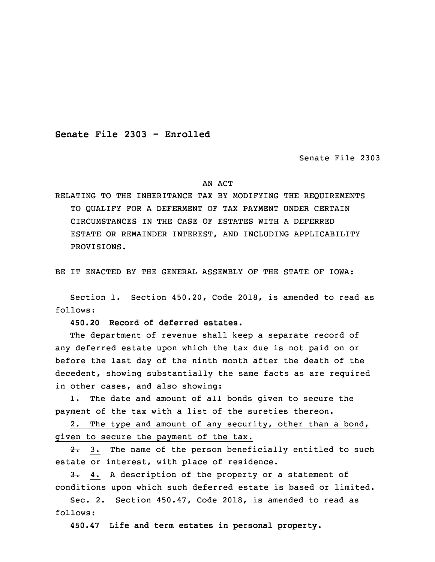**Senate File 2303 - Enrolled**

Senate File 2303

## AN ACT

RELATING TO THE INHERITANCE TAX BY MODIFYING THE REQUIREMENTS TO QUALIFY FOR A DEFERMENT OF TAX PAYMENT UNDER CERTAIN CIRCUMSTANCES IN THE CASE OF ESTATES WITH A DEFERRED ESTATE OR REMAINDER INTEREST, AND INCLUDING APPLICABILITY PROVISIONS.

BE IT ENACTED BY THE GENERAL ASSEMBLY OF THE STATE OF IOWA:

 Section 1. Section 450.20, Code 2018, is amended to read as follows:

3 **450.20 Record of deferred estates.**

 The department of revenue shall keep <sup>a</sup> separate record of any deferred estate upon which the tax due is not paid on or before the last day of the ninth month after the death of the decedent, showing substantially the same facts as are required in other cases, and also showing:

1. The date and amount of all bonds given to secure the payment of the tax with a list of the sureties thereon.

 2. The type and amount of any security, other than <sup>a</sup> bond, given to secure the payment of the tax.

 $2.3$ . The name of the person beneficially entitled to such estate or interest, with place of residence.

3. 4. A description of the property or a statement of conditions upon which such deferred estate is based or limited.

Sec. 2. Section 450.47, Code 2018, is amended to read as follows:

19 **450.47 Life and term estates in personal property.**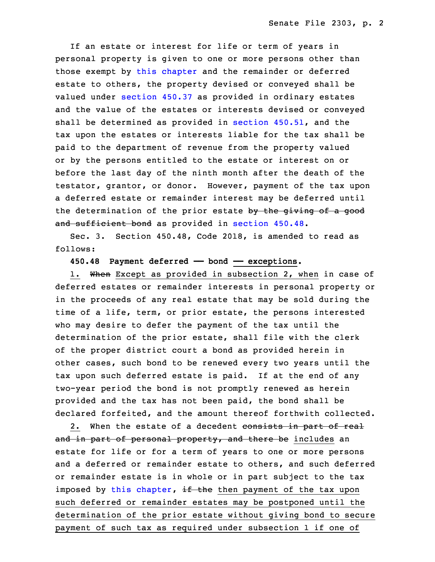If an estate or interest for life or term of years in personal property is given to one or more persons other than those exempt by this [chapter](https://www.legis.iowa.gov/docs/code/2018/450.pdf) and the remainder or deferred estate to others, the property devised or conveyed shall be valued under [section](https://www.legis.iowa.gov/docs/code/2018/450.37.pdf) 450.37 as provided in ordinary estates and the value of the estates or interests devised or conveyed shall be determined as provided in section  $450.51$ , and the tax upon the estates or interests liable for the tax shall be paid to the department of revenue from the property valued or by the persons entitled to the estate or interest on or before the last day of the ninth month after the death of the testator, grantor, or donor. However, payment of the tax upon a deferred estate or remainder interest may be deferred until the determination of the prior estate by the giving of a good and sufficient bond as provided in [section](https://www.legis.iowa.gov/docs/code/2018/450.48.pdf) 450.48.

Sec. 3. Section 450.48, Code 2018, is amended to read as follows:

**450.48 Payment deferred —— bond —— exceptions.**

1. When Except as provided in subsection 2, when in case of deferred estates or remainder interests in personal property or in the proceeds of any real estate that may be sold during the time of a life, term, or prior estate, the persons interested who may desire to defer the payment of the tax until the determination of the prior estate, shall file with the clerk of the proper district court a bond as provided herein in other cases, such bond to be renewed every two years until the tax upon such deferred estate is paid. If at the end of any two-year period the bond is not promptly renewed as herein provided and the tax has not been paid, the bond shall be declared forfeited, and the amount thereof forthwith collected.

2. When the estate of a decedent consists in part of real and in part of personal property, and there be includes an estate for life or for a term of years to one or more persons and a deferred or remainder estate to others, and such deferred or remainder estate is in whole or in part subject to the tax imposed by this [chapter](https://www.legis.iowa.gov/docs/code/2018/450.pdf),  $\frac{1}{2}$  the then payment of the tax upon such deferred or remainder estates may be postponed until the determination of the prior estate without giving bond to secure payment of such tax as required under subsection 1 if one of